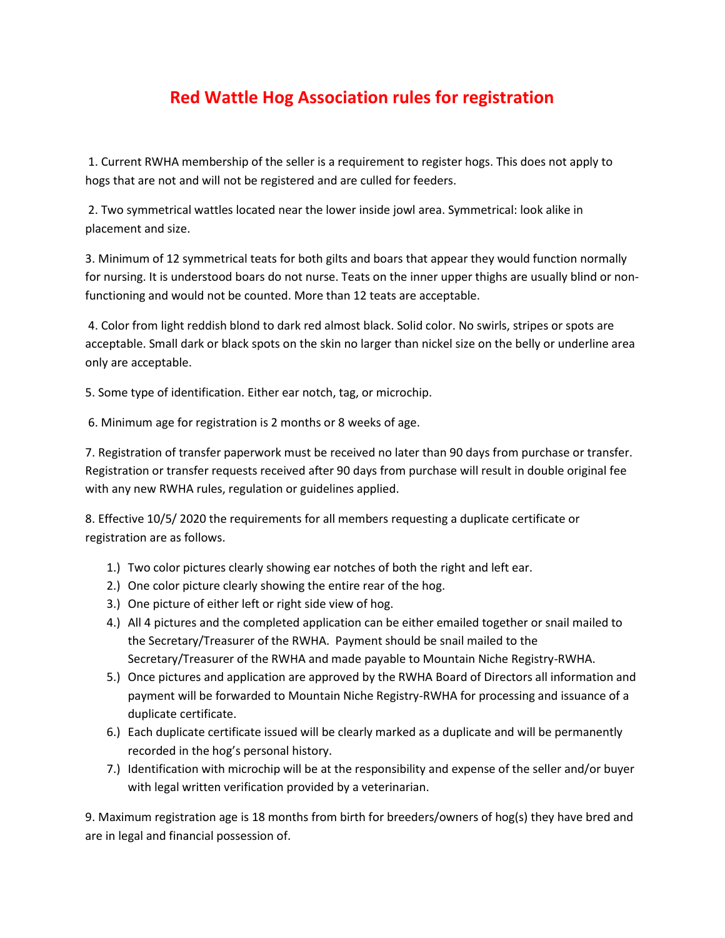## **Red Wattle Hog Association rules for registration**

1. Current RWHA membership of the seller is a requirement to register hogs. This does not apply to hogs that are not and will not be registered and are culled for feeders.

2. Two symmetrical wattles located near the lower inside jowl area. Symmetrical: look alike in placement and size.

3. Minimum of 12 symmetrical teats for both gilts and boars that appear they would function normally for nursing. It is understood boars do not nurse. Teats on the inner upper thighs are usually blind or nonfunctioning and would not be counted. More than 12 teats are acceptable.

4. Color from light reddish blond to dark red almost black. Solid color. No swirls, stripes or spots are acceptable. Small dark or black spots on the skin no larger than nickel size on the belly or underline area only are acceptable.

5. Some type of identification. Either ear notch, tag, or microchip.

6. Minimum age for registration is 2 months or 8 weeks of age.

7. Registration of transfer paperwork must be received no later than 90 days from purchase or transfer. Registration or transfer requests received after 90 days from purchase will result in double original fee with any new RWHA rules, regulation or guidelines applied.

8. Effective 10/5/ 2020 the requirements for all members requesting a duplicate certificate or registration are as follows.

- 1.) Two color pictures clearly showing ear notches of both the right and left ear.
- 2.) One color picture clearly showing the entire rear of the hog.
- 3.) One picture of either left or right side view of hog.
- 4.) All 4 pictures and the completed application can be either emailed together or snail mailed to the Secretary/Treasurer of the RWHA. Payment should be snail mailed to the Secretary/Treasurer of the RWHA and made payable to Mountain Niche Registry-RWHA.
- 5.) Once pictures and application are approved by the RWHA Board of Directors all information and payment will be forwarded to Mountain Niche Registry-RWHA for processing and issuance of a duplicate certificate.
- 6.) Each duplicate certificate issued will be clearly marked as a duplicate and will be permanently recorded in the hog's personal history.
- 7.) Identification with microchip will be at the responsibility and expense of the seller and/or buyer with legal written verification provided by a veterinarian.

9. Maximum registration age is 18 months from birth for breeders/owners of hog(s) they have bred and are in legal and financial possession of.